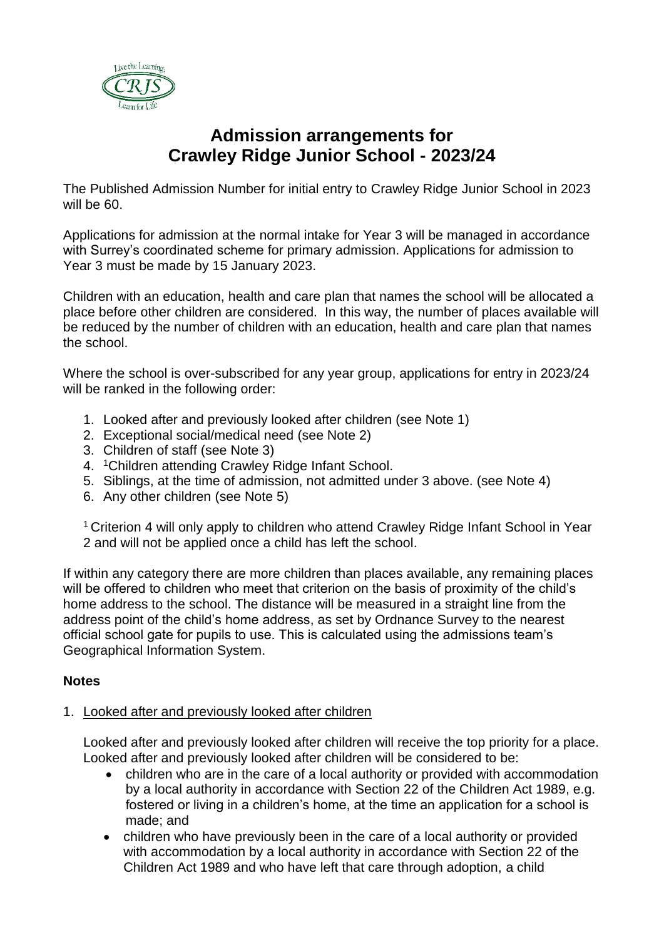

# **Admission arrangements for Crawley Ridge Junior School - 2023/24**

The Published Admission Number for initial entry to Crawley Ridge Junior School in 2023 will be 60.

Applications for admission at the normal intake for Year 3 will be managed in accordance with Surrey's coordinated scheme for primary admission. Applications for admission to Year 3 must be made by 15 January 2023.

Children with an education, health and care plan that names the school will be allocated a place before other children are considered. In this way, the number of places available will be reduced by the number of children with an education, health and care plan that names the school.

Where the school is over-subscribed for any year group, applications for entry in 2023/24 will be ranked in the following order:

- 1. Looked after and previously looked after children (see Note 1)
- 2. Exceptional social/medical need (see Note 2)
- 3. Children of staff (see Note 3)
- 4. <sup>1</sup>Children attending Crawley Ridge Infant School.
- 5. Siblings, at the time of admission, not admitted under 3 above. (see Note 4)
- 6. Any other children (see Note 5)

<sup>1</sup> Criterion 4 will only apply to children who attend Crawley Ridge Infant School in Year 2 and will not be applied once a child has left the school.

If within any category there are more children than places available, any remaining places will be offered to children who meet that criterion on the basis of proximity of the child's home address to the school. The distance will be measured in a straight line from the address point of the child's home address, as set by Ordnance Survey to the nearest official school gate for pupils to use. This is calculated using the admissions team's Geographical Information System.

## **Notes**

### 1. Looked after and previously looked after children

Looked after and previously looked after children will receive the top priority for a place. Looked after and previously looked after children will be considered to be:

- children who are in the care of a local authority or provided with accommodation by a local authority in accordance with Section 22 of the Children Act 1989, e.g. fostered or living in a children's home, at the time an application for a school is made; and
- children who have previously been in the care of a local authority or provided with accommodation by a local authority in accordance with Section 22 of the Children Act 1989 and who have left that care through adoption, a child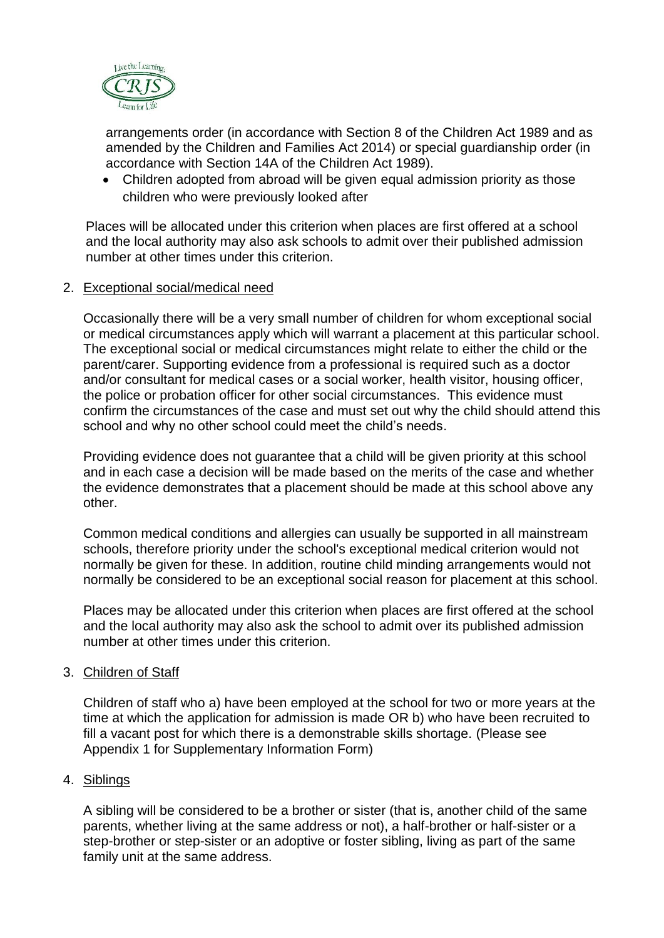

arrangements order (in accordance with Section 8 of the Children Act 1989 and as amended by the Children and Families Act 2014) or special guardianship order (in accordance with Section 14A of the Children Act 1989).

• Children adopted from abroad will be given equal admission priority as those children who were previously looked after

Places will be allocated under this criterion when places are first offered at a school and the local authority may also ask schools to admit over their published admission number at other times under this criterion.

#### 2. Exceptional social/medical need

Occasionally there will be a very small number of children for whom exceptional social or medical circumstances apply which will warrant a placement at this particular school. The exceptional social or medical circumstances might relate to either the child or the parent/carer. Supporting evidence from a professional is required such as a doctor and/or consultant for medical cases or a social worker, health visitor, housing officer, the police or probation officer for other social circumstances. This evidence must confirm the circumstances of the case and must set out why the child should attend this school and why no other school could meet the child's needs.

Providing evidence does not guarantee that a child will be given priority at this school and in each case a decision will be made based on the merits of the case and whether the evidence demonstrates that a placement should be made at this school above any other.

Common medical conditions and allergies can usually be supported in all mainstream schools, therefore priority under the school's exceptional medical criterion would not normally be given for these. In addition, routine child minding arrangements would not normally be considered to be an exceptional social reason for placement at this school.

Places may be allocated under this criterion when places are first offered at the school and the local authority may also ask the school to admit over its published admission number at other times under this criterion.

### 3. Children of Staff

Children of staff who a) have been employed at the school for two or more years at the time at which the application for admission is made OR b) who have been recruited to fill a vacant post for which there is a demonstrable skills shortage. (Please see Appendix 1 for Supplementary Information Form)

### 4. Siblings

A sibling will be considered to be a brother or sister (that is, another child of the same parents, whether living at the same address or not), a half-brother or half-sister or a step-brother or step-sister or an adoptive or foster sibling, living as part of the same family unit at the same address.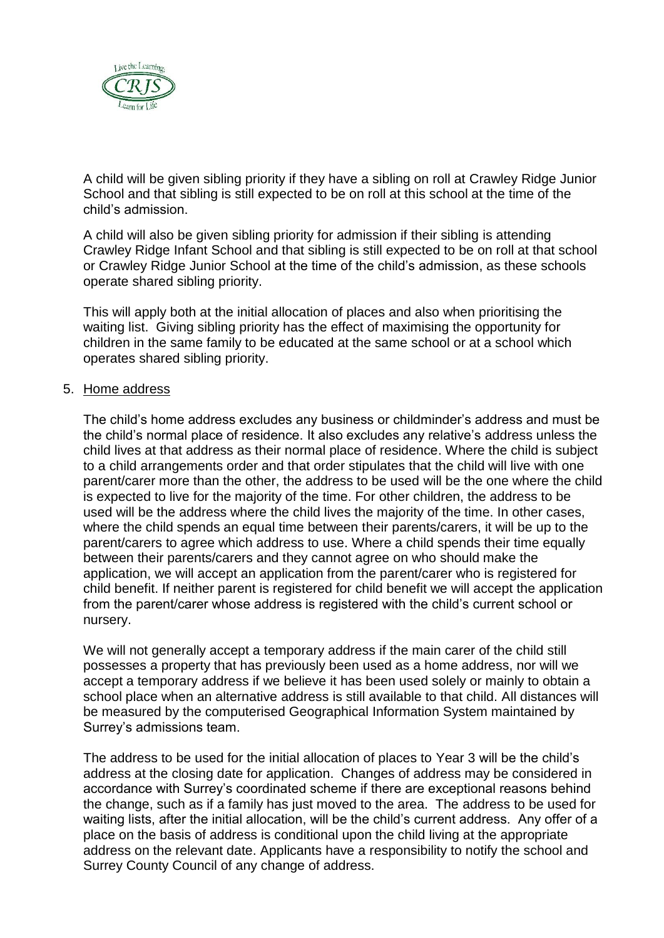

A child will be given sibling priority if they have a sibling on roll at Crawley Ridge Junior School and that sibling is still expected to be on roll at this school at the time of the child's admission.

A child will also be given sibling priority for admission if their sibling is attending Crawley Ridge Infant School and that sibling is still expected to be on roll at that school or Crawley Ridge Junior School at the time of the child's admission, as these schools operate shared sibling priority.

This will apply both at the initial allocation of places and also when prioritising the waiting list. Giving sibling priority has the effect of maximising the opportunity for children in the same family to be educated at the same school or at a school which operates shared sibling priority.

#### 5. Home address

The child's home address excludes any business or childminder's address and must be the child's normal place of residence. It also excludes any relative's address unless the child lives at that address as their normal place of residence. Where the child is subject to a child arrangements order and that order stipulates that the child will live with one parent/carer more than the other, the address to be used will be the one where the child is expected to live for the majority of the time. For other children, the address to be used will be the address where the child lives the majority of the time. In other cases, where the child spends an equal time between their parents/carers, it will be up to the parent/carers to agree which address to use. Where a child spends their time equally between their parents/carers and they cannot agree on who should make the application, we will accept an application from the parent/carer who is registered for child benefit. If neither parent is registered for child benefit we will accept the application from the parent/carer whose address is registered with the child's current school or nursery.

We will not generally accept a temporary address if the main carer of the child still possesses a property that has previously been used as a home address, nor will we accept a temporary address if we believe it has been used solely or mainly to obtain a school place when an alternative address is still available to that child. All distances will be measured by the computerised Geographical Information System maintained by Surrey's admissions team.

The address to be used for the initial allocation of places to Year 3 will be the child's address at the closing date for application. Changes of address may be considered in accordance with Surrey's coordinated scheme if there are exceptional reasons behind the change, such as if a family has just moved to the area. The address to be used for waiting lists, after the initial allocation, will be the child's current address. Any offer of a place on the basis of address is conditional upon the child living at the appropriate address on the relevant date. Applicants have a responsibility to notify the school and Surrey County Council of any change of address.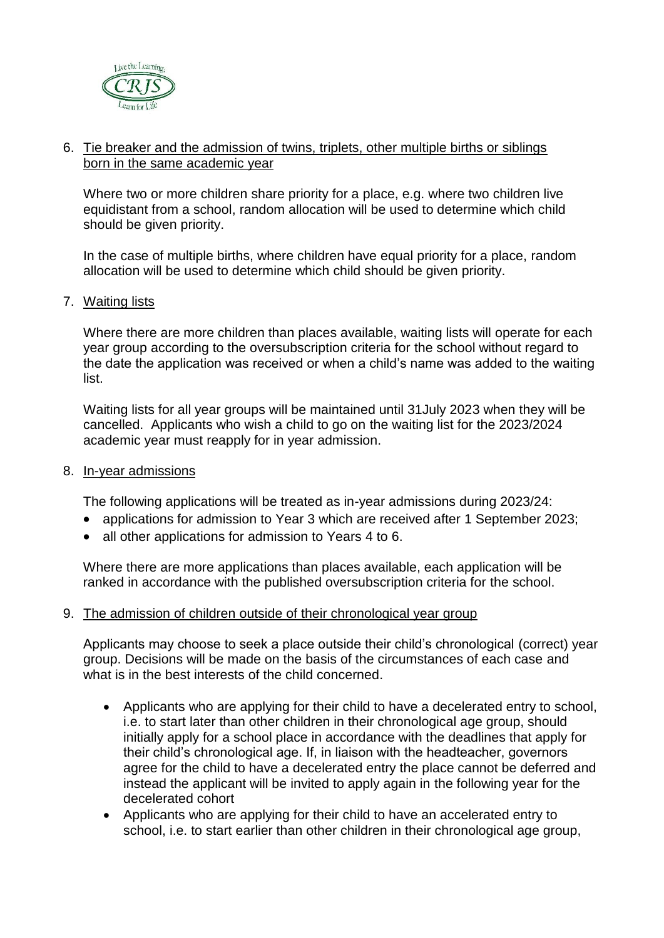

### 6. Tie breaker and the admission of twins, triplets, other multiple births or siblings born in the same academic year

Where two or more children share priority for a place, e.g. where two children live equidistant from a school, random allocation will be used to determine which child should be given priority.

In the case of multiple births, where children have equal priority for a place, random allocation will be used to determine which child should be given priority.

#### 7. Waiting lists

Where there are more children than places available, waiting lists will operate for each year group according to the oversubscription criteria for the school without regard to the date the application was received or when a child's name was added to the waiting list.

Waiting lists for all year groups will be maintained until 31July 2023 when they will be cancelled. Applicants who wish a child to go on the waiting list for the 2023/2024 academic year must reapply for in year admission.

#### 8. In-year admissions

The following applications will be treated as in-year admissions during 2023/24:

- applications for admission to Year 3 which are received after 1 September 2023;
- all other applications for admission to Years 4 to 6.

Where there are more applications than places available, each application will be ranked in accordance with the published oversubscription criteria for the school.

#### 9. The admission of children outside of their chronological year group

Applicants may choose to seek a place outside their child's chronological (correct) year group. Decisions will be made on the basis of the circumstances of each case and what is in the best interests of the child concerned.

- Applicants who are applying for their child to have a decelerated entry to school, i.e. to start later than other children in their chronological age group, should initially apply for a school place in accordance with the deadlines that apply for their child's chronological age. If, in liaison with the headteacher, governors agree for the child to have a decelerated entry the place cannot be deferred and instead the applicant will be invited to apply again in the following year for the decelerated cohort
- Applicants who are applying for their child to have an accelerated entry to school, i.e. to start earlier than other children in their chronological age group,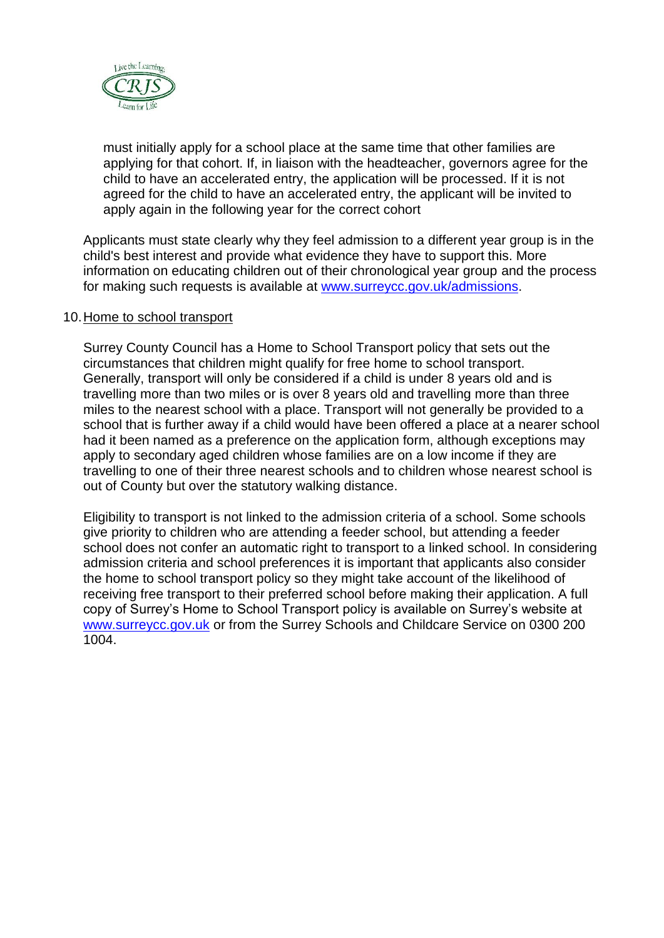

must initially apply for a school place at the same time that other families are applying for that cohort. If, in liaison with the headteacher, governors agree for the child to have an accelerated entry, the application will be processed. If it is not agreed for the child to have an accelerated entry, the applicant will be invited to apply again in the following year for the correct cohort

Applicants must state clearly why they feel admission to a different year group is in the child's best interest and provide what evidence they have to support this. More information on educating children out of their chronological year group and the process for making such requests is available at [www.surreycc.gov.uk/admissions.](http://www.surreycc.gov.uk/admissions)

#### 10.Home to school transport

Surrey County Council has a Home to School Transport policy that sets out the circumstances that children might qualify for free home to school transport. Generally, transport will only be considered if a child is under 8 years old and is travelling more than two miles or is over 8 years old and travelling more than three miles to the nearest school with a place. Transport will not generally be provided to a school that is further away if a child would have been offered a place at a nearer school had it been named as a preference on the application form, although exceptions may apply to secondary aged children whose families are on a low income if they are travelling to one of their three nearest schools and to children whose nearest school is out of County but over the statutory walking distance.

Eligibility to transport is not linked to the admission criteria of a school. Some schools give priority to children who are attending a feeder school, but attending a feeder school does not confer an automatic right to transport to a linked school. In considering admission criteria and school preferences it is important that applicants also consider the home to school transport policy so they might take account of the likelihood of receiving free transport to their preferred school before making their application. A full copy of Surrey's Home to School Transport policy is available on Surrey's website at [www.surreycc.gov.uk](http://www.surreycc.gov.uk/) or from the Surrey Schools and Childcare Service on 0300 200 1004.